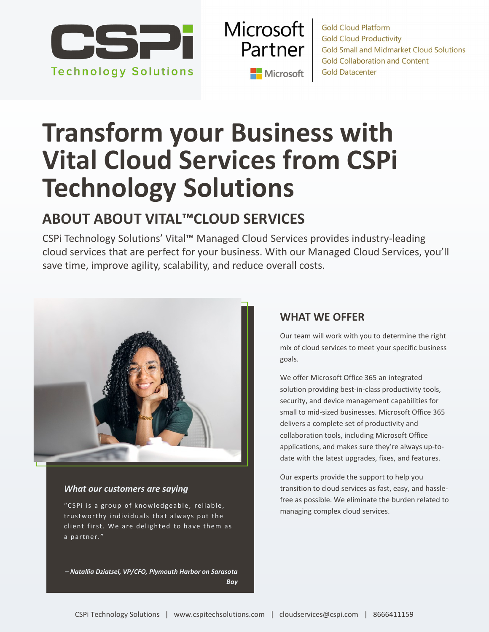

**Microsoft** Partner Microsoft

**Gold Cloud Platform Gold Cloud Productivity Gold Small and Midmarket Cloud Solutions Gold Collaboration and Content Gold Datacenter** 

## **Transform your Business with Vital Cloud Services from CSPi Technology Solutions**

## **ABOUT ABOUT VITAL™CLOUD SERVICES**

CSPi Technology Solutions' Vital™ Managed Cloud Services provides industry-leading cloud services that are perfect for your business. With our Managed Cloud Services, you'll save time, improve agility, scalability, and reduce overall costs.



### *What our customers are saying*

managing complex cloud services. The complex cloud services.<br>The complex cloud services. The complex cloud services. trustworthy individuals that always put the client first. We are delighted to have them as a partner."

*– Natallia Dziatsel, VP/CFO, Plymouth Harbor on Sarasota Bay*

## **WHAT WE OFFER**

Our team will work with you to determine the right mix of cloud services to meet your specific business goals.

We offer Microsoft Office 365 an integrated solution providing best-in-class productivity tools, security, and device management capabilities for small to mid-sized businesses. Microsoft Office 365 delivers a complete set of productivity and collaboration tools, including Microsoft Office applications, and makes sure they're always up-todate with the latest upgrades, fixes, and features.

Our experts provide the support to help you transition to cloud services as fast, easy, and hasslefree as possible. We eliminate the burden related to